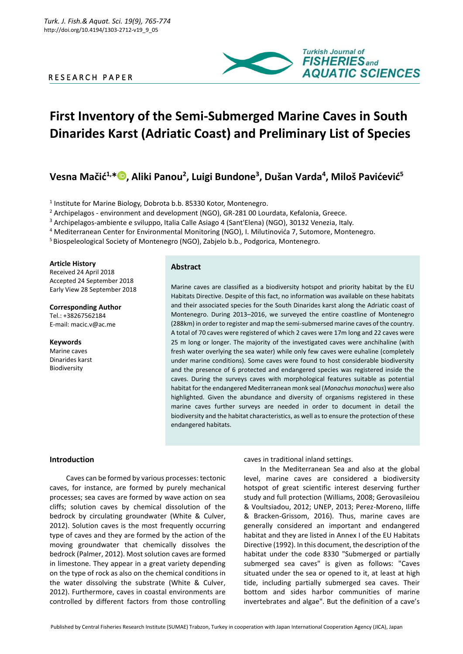# R E S E A R C H P A P E R



# **First Inventory of the Semi-Submerged Marine Caves in South Dinarides Karst (Adriatic Coast) and Preliminary List of Species**

# **Vesna Mačić1,[\\*](https://orcid.org/0000-0001-9680-6284) , Aliki Panou<sup>2</sup> , Luigi Bundone<sup>3</sup> , Dušan Varda<sup>4</sup> , Miloš Pavićević<sup>5</sup>**

<sup>1</sup> Institute for Marine Biology, Dobrota b.b. 85330 Kotor, Montenegro.

<sup>2</sup> Archipelagos - environment and development (NGO), GR-281 00 Lourdata, Kefalonia, Greece.

<sup>3</sup> Archipelagos-ambiente e sviluppo, Italia Calle Asiago 4 (Sant'Elena) (NGO), 30132 Venezia, Italy.

<sup>4</sup> Mediterranean Center for Environmental Monitoring (NGO), I. Milutinovića 7, Sutomore, Montenegro.

<sup>5</sup> Biospeleological Society of Montenegro (NGO), Zabjelo b.b., Podgorica, Montenegro.

#### **Article History**

Received 24 April 2018 Accepted 24 September 2018 Early View 28 September 2018

### **Corresponding Author**

Tel.: +38267562184 E-mail: macic.v@ac.me

# **Keywords**

Marine caves Dinarides karst Biodiversity

# **Abstract**

Marine caves are classified as a biodiversity hotspot and priority habitat by the EU Habitats Directive. Despite of this fact, no information was available on these habitats and their associated species for the South Dinarides karst along the Adriatic coast of Montenegro. During 2013–2016, we surveyed the entire coastline of Montenegro (288km) in order to register and map the semi-submersed marine caves of the country. A total of 70 caves were registered of which 2 caves were 17m long and 22 caves were 25 m long or longer. The majority of the investigated caves were anchihaline (with fresh water overlying the sea water) while only few caves were euhaline (completely under marine conditions). Some caves were found to host considerable biodiversity and the presence of 6 protected and endangered species was registered inside the caves. During the surveys caves with morphological features suitable as potential habitat for the endangered Mediterranean monk seal (*Monachus monachus*) were also highlighted. Given the abundance and diversity of organisms registered in these marine caves further surveys are needed in order to document in detail the biodiversity and the habitat characteristics, as well as to ensure the protection of these endangered habitats.

#### **Introduction**

Caves can be formed by various processes: tectonic caves, for instance, are formed by purely mechanical processes; sea caves are formed by wave action on sea cliffs; solution caves by chemical dissolution of the bedrock by circulating groundwater (White & Culver, 2012). Solution caves is the most frequently occurring type of caves and they are formed by the action of the moving groundwater that chemically dissolves the bedrock (Palmer, 2012). Most solution caves are formed in limestone. They appear in a great variety depending on the type of rock as also on the chemical conditions in the water dissolving the substrate (White & Culver, 2012). Furthermore, caves in coastal environments are controlled by different factors from those controlling

caves in traditional inland settings.

In the Mediterranean Sea and also at the global level, marine caves are considered a biodiversity hotspot of great scientific interest deserving further study and full protection (Williams, 2008; Gerovasileiou & Voultsiadou, 2012; UNEP, 2013; Perez-Moreno, Iliffe & Bracken-Grissom, 2016). Thus, marine caves are generally considered an important and endangered habitat and they are listed in Annex I of the EU Habitats Directive (1992). In this document, the description of the habitat under the code 8330 "Submerged or partially submerged sea caves" is given as follows: "Caves situated under the sea or opened to it, at least at high tide, including partially submerged sea caves. Their bottom and sides harbor communities of marine invertebrates and algae". But the definition of a cave's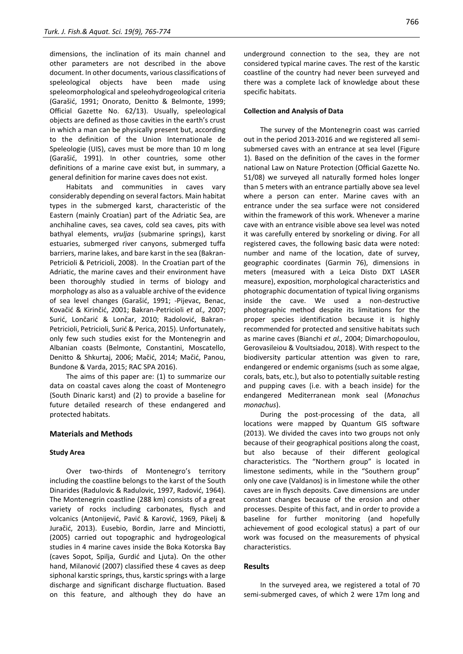dimensions, the inclination of its main channel and other parameters are not described in the above document. In other documents, various classifications of speleological objects have been made using speleomorphological and speleohydrogeological criteria (Garašić, 1991; Onorato, Denitto & Belmonte, 1999; Official Gazette No. 62/13). Usually, speleological objects are defined as those cavities in the earth's crust in which a man can be physically present but, according to the definition of the Union Internationale de Speleologie (UIS), caves must be more than 10 m long (Garašić, 1991). In other countries, some other definitions of a marine cave exist but, in summary, a general definition for marine caves does not exist.

Habitats and communities in caves vary considerably depending on several factors. Main habitat types in the submerged karst, characteristic of the Eastern (mainly Croatian) part of the Adriatic Sea, are anchihaline caves, sea caves, cold sea caves, pits with bathyal elements, *vruljas* (submarine springs), karst estuaries, submerged river canyons, submerged tuffa barriers, marine lakes, and bare karst in the sea (Bakran-Petricioli & Petricioli, 2008). In the Croatian part of the Adriatic, the marine caves and their environment have been thoroughly studied in terms of biology and morphology as also as a valuable archive of the evidence of sea level changes (Garašić, 1991; -Pijevac, Benac, Kovačić & Kirinčić, 2001; Bakran-Petricioli *et al.,* 2007; Surić, Lončarić & Lončar, 2010; Radolović, Bakran-Petricioli, Petricioli, Surić & Perica, 2015). Unfortunately, only few such studies exist for the Montenegrin and Albanian coasts (Belmonte, Constantini, Moscatello, Denitto & Shkurtaj, 2006; Mačić, 2014; Mačić, Panou, Bundone & Varda, 2015; RAC SPA 2016).

The aims of this paper are: (1) to summarize our data on coastal caves along the coast of Montenegro (South Dinaric karst) and (2) to provide a baseline for future detailed research of these endangered and protected habitats.

#### **Materials and Methods**

#### **Study Area**

Over two-thirds of Montenegro's territory including the coastline belongs to the karst of the South Dinarides (Radulovic & Radulovic, 1997, Radović, 1964). The Montenegrin coastline (288 km) consists of a great variety of rocks including carbonates, flysch and volcanics (Antonijević, Pavić & Karović, 1969, Pikelj & Juračić, 2013). Eusebio, Bordin, Jarre and Minciotti, (2005) carried out topographic and hydrogeological studies in 4 marine caves inside the Boka Kotorska Bay (caves Sopot, Spilja, Gurdić and Ljuta). On the other hand, Milanović (2007) classified these 4 caves as deep siphonal karstic springs, thus, karstic springs with a large discharge and significant discharge fluctuation. Based on this feature, and although they do have an underground connection to the sea, they are not considered typical marine caves. The rest of the karstic coastline of the country had never been surveyed and there was a complete lack of knowledge about these specific habitats.

#### **Collection and Analysis of Data**

The survey of the Montenegrin coast was carried out in the period 2013-2016 and we registered all semisubmersed caves with an entrance at sea level (Figure 1). Based on the definition of the caves in the former national Law on Nature Protection (Official Gazette No. 51/08) we surveyed all naturally formed holes longer than 5 meters with an entrance partially above sea level where a person can enter. Marine caves with an entrance under the sea surface were not considered within the framework of this work. Whenever a marine cave with an entrance visible above sea level was noted it was carefully entered by snorkeling or diving. For all registered caves, the following basic data were noted: number and name of the location, date of survey, geographic coordinates (Garmin 76), dimensions in meters (measured with a Leica Disto DXT LASER measure), exposition, morphological characteristics and photographic documentation of typical living organisms inside the cave. We used a non-destructive photographic method despite its limitations for the proper species identification because it is highly recommended for protected and sensitive habitats such as marine caves (Bianchi *et al.,* 2004; Dimarchopoulou, Gerovasileiou & Voultsiadou, 2018). With respect to the biodiversity particular attention was given to rare, endangered or endemic organisms (such as some algae, corals, bats, etc.), but also to potentially suitable resting and pupping caves (i.e. with a beach inside) for the endangered Mediterranean monk seal (*Monachus monachus*).

During the post-processing of the data, all locations were mapped by Quantum GIS software (2013). We divided the caves into two groups not only because of their geographical positions along the coast, but also because of their different geological characteristics. The "Northern group" is located in limestone sediments, while in the "Southern group" only one cave (Valdanos) is in limestone while the other caves are in flysch deposits. Cave dimensions are under constant changes because of the erosion and other processes. Despite of this fact, and in order to provide a baseline for further monitoring (and hopefully achievement of good ecological status) a part of our work was focused on the measurements of physical characteristics.

#### **Results**

In the surveyed area, we registered a total of 70 semi-submerged caves, of which 2 were 17m long and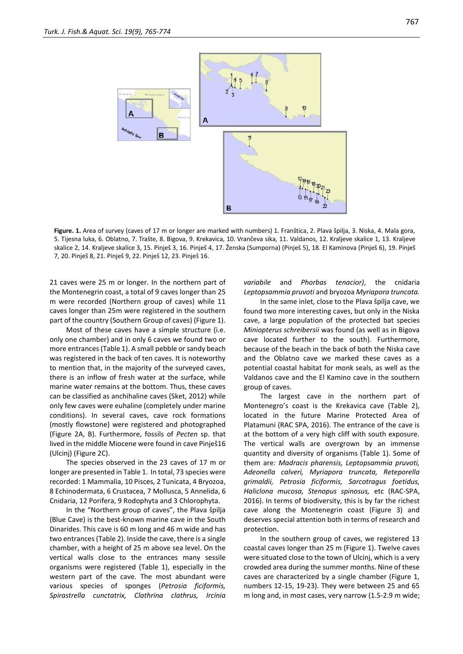

**Figure. 1.** Area of survey (caves of 17 m or longer are marked with numbers) 1. Franštica, 2. Plava špilja, 3. Niska, 4. Mala gora, 5. Tijesna luka, 6. Oblatno, 7. Trašte, 8. Bigova, 9. Krekavica, 10. Vrančeva sika, 11. Valdanos, 12. Kraljeve skalice 1, 13. Kraljeve skalice 2, 14. Kraljeve skalice 3, 15. Pinješ 3, 16. Pinješ 4, 17. Ženska (Sumporna) (Pinješ 5), 18. El Kaminova (Pinješ 6), 19. Pinješ 7, 20. Pinješ 8, 21. Pinješ 9, 22. Pinješ 12, 23. Pinješ 16.

21 caves were 25 m or longer. In the northern part of the Montenegrin coast, a total of 9 caves longer than 25 m were recorded (Northern group of caves) while 11 caves longer than 25m were registered in the southern part of the country (Southern Group of caves) (Figure 1).

Most of these caves have a simple structure (i.e. only one chamber) and in only 6 caves we found two or more entrances (Table 1). A small pebble or sandy beach was registered in the back of ten caves. It is noteworthy to mention that, in the majority of the surveyed caves, there is an inflow of fresh water at the surface, while marine water remains at the bottom. Thus, these caves can be classified as anchihaline caves (Sket, 2012) while only few caves were euhaline (completely under marine conditions). In several caves, cave rock formations (mostly flowstone) were registered and photographed (Figure 2A, B). Furthermore, fossils of *Pecten* sp. that lived in the middle Miocene were found in cave Pinješ16 (Ulcinj) (Figure 2C).

The species observed in the 23 caves of 17 m or longer are presented in Table 1. In total, 73 species were recorded: 1 Mammalia, 10 Pisces, 2 Tunicata, 4 Bryozoa, 8 Echinodermata, 6 Crustacea, 7 Mollusca, 5 Annelida, 6 Cnidaria, 12 Porifera, 9 Rodophyta and 3 Chlorophyta.

In the "Northern group of caves", the Plava špilja (Blue Cave) is the best-known marine cave in the South Dinarides. This cave is 60 m long and 46 m wide and has two entrances(Table 2). Inside the cave, there is a single chamber, with a height of 25 m above sea level. On the vertical walls close to the entrances many sessile organisms were registered (Table 1), especially in the western part of the cave. The most abundant were various species of sponges (*Petrosia ficiformis, Spirastrella cunctatrix, Clathrina clathrus, Ircinia*  *variabile* and *Phorbas tenacior)*, the cnidaria *Leptopsammia pruvoti* and bryozoa *Myriapora truncata.*

In the same inlet, close to the Plava špilja cave, we found two more interesting caves, but only in the Niska cave, a large population of the protected bat species *Miniopterus schreibersii* was found (as well as in Bigova cave located further to the south). Furthermore, because of the beach in the back of both the Niska cave and the Oblatno cave we marked these caves as a potential coastal habitat for monk seals, as well as the Valdanos cave and the El Kamino cave in the southern group of caves.

The largest cave in the northern part of Montenegro's coast is the Krekavica cave (Table 2), located in the future Marine Protected Area of Platamuni (RAC SPA, 2016). The entrance of the cave is at the bottom of a very high cliff with south exposure. The vertical walls are overgrown by an immense quantity and diversity of organisms (Table 1). Some of them are*: Madracis pharensis, Leptopsammia pruvoti, Adeonella calveri, Myriapora truncata, Reteporella grimaldii, Petrosia ficiformis, Sarcotragus foetidus, Haliclona mucosa, Stenopus spinosus,* etc (RAC-SPA, 2016). In terms of biodiversity, this is by far the richest cave along the Montenegrin coast (Figure 3) and deserves special attention both in terms of research and protection.

In the southern group of caves, we registered 13 coastal caves longer than 25 m (Figure 1). Twelve caves were situated close to the town of Ulcinj, which is a very crowded area during the summer months. Nine of these caves are characterized by a single chamber (Figure 1, numbers 12-15, 19-23). They were between 25 and 65 m long and, in most cases, very narrow (1.5-2.9 m wide;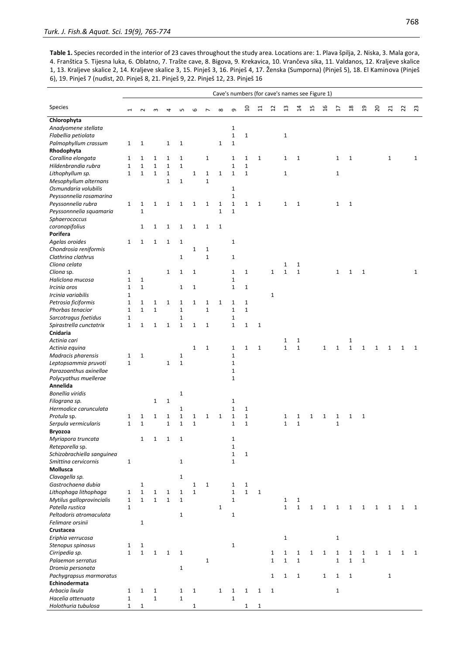**Table 1.** Species recorded in the interior of 23 caves throughout the study area. Locations are: 1. Plava špilja, 2. Niska, 3. Mala gora, 4. Franštica 5. Tijesna luka, 6. Oblatno, 7. Trašte cave, 8. Bigova, 9. Krekavica, 10. Vrančeva sika, 11. Valdanos, 12. Kraljeve skalice 1, 13. Kraljeve skalice 2, 14. Kraljeve skalice 3, 15. Pinješ 3, 16. Pinješ 4, 17. Ženska (Sumporna) (Pinješ 5), 18. El Kaminova (Pinješ 6), 19. Pinješ 7 (nudist, 20. Pinješ 8, 21. Pinješ 9, 22. Pinješ 12, 23. Pinješ 16

|                            |              |              |              |              |              |              |              |              |              | Cave's numbers (for cave's names see Figure 1) |                |              |                |              |              |               |              |                |                |              |                |              |              |
|----------------------------|--------------|--------------|--------------|--------------|--------------|--------------|--------------|--------------|--------------|------------------------------------------------|----------------|--------------|----------------|--------------|--------------|---------------|--------------|----------------|----------------|--------------|----------------|--------------|--------------|
| Species                    |              | $\sim$       | ന            |              | LO           | 6            |              | $\infty$     | თ            | $\overline{a}$                                 | $\overline{1}$ | $\mathbf{a}$ | $\mathfrak{u}$ | 4            | 15           | $\frac{9}{2}$ | H            | $\frac{8}{10}$ | $\overline{a}$ | 20           | $\overline{z}$ | 22           | 23           |
| Chlorophyta                |              |              |              |              |              |              |              |              |              |                                                |                |              |                |              |              |               |              |                |                |              |                |              |              |
| Anadyomene stellata        |              |              |              |              |              |              |              |              | 1            |                                                |                |              |                |              |              |               |              |                |                |              |                |              |              |
| Flabellia petiolata        |              |              |              |              |              |              |              |              | $\mathbf{1}$ | $\mathbf{1}$                                   |                |              | $\mathbf 1$    |              |              |               |              |                |                |              |                |              |              |
| Palmophyllum crassum       | $1\,$        | $1\,$        |              | 1            | 1            |              |              | $\mathbf{1}$ | $\mathbf{1}$ |                                                |                |              |                |              |              |               |              |                |                |              |                |              |              |
| Rhodophyta                 |              |              |              |              |              |              |              |              |              |                                                |                |              |                |              |              |               |              |                |                |              |                |              |              |
| Corallina elongata         | $1\,$        | $\mathbf 1$  | $\mathbf{1}$ | 1            | $\mathbf{1}$ |              | 1            |              | 1            | 1                                              | $\mathbf{1}$   |              | $\mathbf{1}$   | 1            |              |               | 1            | $1\,$          |                |              | $\mathbf{1}$   |              | $\mathbf{1}$ |
| Hildenbrandia rubra        | $\mathbf{1}$ | $\mathbf{1}$ | $\mathbf 1$  | $\mathbf{1}$ | $\mathbf{1}$ |              |              |              | $\mathbf{1}$ | $\mathbf{1}$                                   |                |              |                |              |              |               |              |                |                |              |                |              |              |
| Lithophyllum sp.           | $\mathbf{1}$ | $\mathbf 1$  | $\mathbf 1$  | $\mathbf 1$  |              | $\mathbf 1$  | 1            | $\mathbf 1$  | $\mathbf{1}$ | $\mathbf{1}$                                   |                |              | $\mathbf 1$    |              |              |               | $\mathbf 1$  |                |                |              |                |              |              |
| Mesophyllum alternans      |              |              |              | $\mathbf{1}$ | $\mathbf{1}$ |              | $\mathbf 1$  |              |              |                                                |                |              |                |              |              |               |              |                |                |              |                |              |              |
| Osmundaria volubilis       |              |              |              |              |              |              |              |              | 1            |                                                |                |              |                |              |              |               |              |                |                |              |                |              |              |
| Peyssonnelia rosamarina    |              |              |              |              |              |              |              |              | $\mathbf 1$  |                                                |                |              |                |              |              |               |              |                |                |              |                |              |              |
| Peyssonnelia rubra         | $\mathbf{1}$ | $\mathbf 1$  | $\mathbf 1$  | $\mathbf{1}$ | $\mathbf{1}$ | $\mathbf{1}$ | $\mathbf{1}$ | $\mathbf{1}$ | $\mathbf{1}$ | 1                                              | $\mathbf 1$    |              | $\mathbf{1}$   | $\mathbf{1}$ |              |               | 1            | $1\,$          |                |              |                |              |              |
| Peyssonnnelia squamaria    |              | $\mathbf 1$  |              |              |              |              |              | $\mathbf{1}$ | $\mathbf 1$  |                                                |                |              |                |              |              |               |              |                |                |              |                |              |              |
| Sphaerococcus              |              |              |              |              |              |              |              |              |              |                                                |                |              |                |              |              |               |              |                |                |              |                |              |              |
| coronopifolius             |              | $\mathbf 1$  | $\mathbf{1}$ | $\mathbf 1$  | $\mathbf{1}$ | $\mathbf{1}$ | $\mathbf{1}$ | $\mathbf{1}$ |              |                                                |                |              |                |              |              |               |              |                |                |              |                |              |              |
| Porifera                   |              |              |              |              |              |              |              |              |              |                                                |                |              |                |              |              |               |              |                |                |              |                |              |              |
| Agelas oroides             | $\mathbf 1$  | $\mathbf{1}$ | $\mathbf{1}$ | $\mathbf{1}$ | $\mathbf{1}$ |              |              |              | $\mathbf{1}$ |                                                |                |              |                |              |              |               |              |                |                |              |                |              |              |
| Chondrosia reniformis      |              |              |              |              |              | $\mathbf 1$  | 1            |              |              |                                                |                |              |                |              |              |               |              |                |                |              |                |              |              |
| Clathrina clathrus         |              |              |              |              | $\mathbf{1}$ |              | $\mathbf{1}$ |              | 1            |                                                |                |              |                |              |              |               |              |                |                |              |                |              |              |
| Cliona celata              |              |              |              |              |              |              |              |              |              |                                                |                |              | $\mathbf 1$    | $\mathbf{1}$ |              |               |              |                |                |              |                |              |              |
| Cliona sp.                 | $\mathbf 1$  |              |              | $\mathbf{1}$ | $\mathbf{1}$ | $\mathbf{1}$ |              |              | $\mathbf{1}$ | $\mathbf{1}$                                   |                | $\mathbf{1}$ | $\mathbf{1}$   | $\mathbf{1}$ |              |               | $\mathbf{1}$ | $\mathbf{1}$   | $\mathbf{1}$   |              |                |              | $\mathbf{1}$ |
| Haliclona mucosa           | $\mathbf 1$  | $\mathbf{1}$ |              |              |              |              |              |              | 1            |                                                |                |              |                |              |              |               |              |                |                |              |                |              |              |
| Ircinia oros               | $\mathbf 1$  | $\mathbf{1}$ |              |              | $\mathbf{1}$ | $\mathbf{1}$ |              |              | $\mathbf{1}$ | $\mathbf{1}$                                   |                |              |                |              |              |               |              |                |                |              |                |              |              |
| Ircinia variabilis         | $\mathbf 1$  |              |              |              |              |              |              |              |              |                                                |                | $\mathbf{1}$ |                |              |              |               |              |                |                |              |                |              |              |
| Petrosia ficiformis        | $\mathbf 1$  | $\mathbf{1}$ | $\mathbf 1$  | $\mathbf 1$  | $1\,$        | $\mathbf{1}$ | 1            | $\mathbf{1}$ | 1            | $\mathbf 1$                                    |                |              |                |              |              |               |              |                |                |              |                |              |              |
| Phorbas tenacior           | $\mathbf{1}$ | $\mathbf{1}$ | $\mathbf 1$  |              | $\mathbf 1$  |              | $\mathbf 1$  |              | $\mathbf{1}$ | $\mathbf{1}$                                   |                |              |                |              |              |               |              |                |                |              |                |              |              |
| Sarcotragus foetidus       | $\mathbf 1$  |              |              |              | 1            |              |              |              | 1            |                                                |                |              |                |              |              |               |              |                |                |              |                |              |              |
| Spirastrella cunctatrix    | $\mathbf 1$  | $\mathbf 1$  | $\mathbf{1}$ | $\mathbf{1}$ | $\mathbf 1$  | $\mathbf{1}$ | $\mathbf{1}$ |              | $\mathbf{1}$ | $\mathbf{1}$                                   | $1\,$          |              |                |              |              |               |              |                |                |              |                |              |              |
| Cnidaria                   |              |              |              |              |              |              |              |              |              |                                                |                |              |                |              |              |               |              |                |                |              |                |              |              |
| Actinia cari               |              |              |              |              |              |              |              |              |              |                                                |                |              | 1              | 1            |              |               |              | $\mathbf{1}$   |                |              |                |              |              |
| Actinia equina             |              |              |              |              |              | $\mathbf{1}$ | $\mathbf{1}$ |              | $\mathbf{1}$ | $\mathbf{1}$                                   | $\mathbf 1$    |              | $\mathbf 1$    | $\mathbf 1$  |              | $\mathbf{1}$  | $\mathbf{1}$ | $\mathbf{1}$   | $\mathbf{1}$   | 1            | $\mathbf{1}$   | 1            | 1            |
| Madracis pharensis         | $\mathbf 1$  | $\mathbf{1}$ |              |              | $1\,$        |              |              |              | 1            |                                                |                |              |                |              |              |               |              |                |                |              |                |              |              |
| Leptopsammia pruvoti       | $\mathbf 1$  |              |              | 1            | $\mathbf{1}$ |              |              |              | 1            |                                                |                |              |                |              |              |               |              |                |                |              |                |              |              |
| Parazoanthus axinellae     |              |              |              |              |              |              |              |              | $\mathbf 1$  |                                                |                |              |                |              |              |               |              |                |                |              |                |              |              |
| Polycyathus muellerae      |              |              |              |              |              |              |              |              | $\mathbf{1}$ |                                                |                |              |                |              |              |               |              |                |                |              |                |              |              |
| Annelida                   |              |              |              |              |              |              |              |              |              |                                                |                |              |                |              |              |               |              |                |                |              |                |              |              |
| <b>Bonellia viridis</b>    |              |              |              |              | $1\,$        |              |              |              |              |                                                |                |              |                |              |              |               |              |                |                |              |                |              |              |
| Filograna sp.              |              |              | $\mathbf{1}$ | $\mathbf 1$  |              |              |              |              | 1            |                                                |                |              |                |              |              |               |              |                |                |              |                |              |              |
| Hermodice carunculata      |              |              |              |              | $\mathbf{1}$ |              |              |              | $\mathbf{1}$ | $\mathbf{1}$                                   |                |              |                |              |              |               |              |                |                |              |                |              |              |
| Protula sp.                | $1\,$        | $\mathbf{1}$ | $\mathbf{1}$ | $\mathbf{1}$ | $\mathbf{1}$ | $\mathbf{1}$ | 1            | $\mathbf{1}$ | $\mathbf 1$  | $\mathbf{1}$                                   |                |              | 1              | 1            | 1            | $\mathbf{1}$  | 1            | $\mathbf{1}$   | $\mathbf{1}$   |              |                |              |              |
| Serpula vermicularis       | $\mathbf{1}$ | $\mathbf 1$  |              | 1            | $\mathbf 1$  | $\mathbf 1$  |              |              | 1            | $\mathbf 1$                                    |                |              | $\mathbf{1}$   | $\mathbf 1$  |              |               | $\mathbf 1$  |                |                |              |                |              |              |
| Bryozoa                    |              |              |              |              |              |              |              |              |              |                                                |                |              |                |              |              |               |              |                |                |              |                |              |              |
| Myriapora truncata         |              | $\mathbf 1$  | $\mathbf 1$  | $\mathbf 1$  | $\mathbf 1$  |              |              |              | 1            |                                                |                |              |                |              |              |               |              |                |                |              |                |              |              |
| Reteporella sp.            |              |              |              |              |              |              |              |              | 1            |                                                |                |              |                |              |              |               |              |                |                |              |                |              |              |
| Schizobrachiella sanguinea |              |              |              |              |              |              |              |              | $\mathbf 1$  | $\mathbf{1}$                                   |                |              |                |              |              |               |              |                |                |              |                |              |              |
| Smittina cervicornis       | $\mathbf 1$  |              |              |              | $\mathbf{1}$ |              |              |              | 1            |                                                |                |              |                |              |              |               |              |                |                |              |                |              |              |
| Mollusca                   |              |              |              |              |              |              |              |              |              |                                                |                |              |                |              |              |               |              |                |                |              |                |              |              |
| Clavagella sp.             |              |              |              |              | $\mathbf{1}$ |              |              |              |              |                                                |                |              |                |              |              |               |              |                |                |              |                |              |              |
| Gastrochaena dubia         |              | $\mathbf 1$  |              |              |              | $\mathbf 1$  | $\mathbf{1}$ |              | 1            | $\mathbf{1}$                                   |                |              |                |              |              |               |              |                |                |              |                |              |              |
| Lithophaga lithophaga      | $\mathbf{1}$ | $\mathbf{1}$ | $\mathbf 1$  | $\mathbf{1}$ | $\mathbf{1}$ | $\mathbf{1}$ |              |              | $\mathbf{1}$ | $\mathbf 1$                                    | $\mathbf{1}$   |              |                |              |              |               |              |                |                |              |                |              |              |
| Mytilus galloprovincialis  | $\mathbf 1$  | $\mathbf 1$  | $\mathbf 1$  | $\mathbf 1$  | $\mathbf 1$  |              |              |              | $\mathbf{1}$ |                                                |                |              | $\mathbf{1}$   | $\mathbf{1}$ |              |               |              |                |                |              |                |              |              |
| Patella rustica            | $\mathbf{1}$ |              |              |              |              |              |              | $\mathbf{1}$ |              |                                                |                |              | $\mathbf{1}$   | $\mathbf{1}$ | $\mathbf{1}$ | $\mathbf{1}$  | 1            | $\mathbf{1}$   | 1              | 1            | $\mathbf{1}$   | 1            | 1            |
| Peltodoris atromaculata    |              |              |              |              | $\mathbf{1}$ |              |              |              | 1            |                                                |                |              |                |              |              |               |              |                |                |              |                |              |              |
| Felimare orsinii           |              | $\mathbf 1$  |              |              |              |              |              |              |              |                                                |                |              |                |              |              |               |              |                |                |              |                |              |              |
| Crustacea                  |              |              |              |              |              |              |              |              |              |                                                |                |              |                |              |              |               |              |                |                |              |                |              |              |
| Eriphia verrucosa          |              |              |              |              |              |              |              |              |              |                                                |                |              | $\mathbf{1}$   |              |              |               | $\mathbf 1$  |                |                |              |                |              |              |
| Stenopus spinosus          | $\mathbf{1}$ | $\mathbf{1}$ |              |              |              |              |              |              | $\mathbf{1}$ |                                                |                |              |                |              |              |               |              |                |                |              |                |              |              |
| Cirripedia sp.             | $\mathbf{1}$ | $\mathbf{1}$ | $\mathbf{1}$ | $\mathbf{1}$ | $\mathbf{1}$ |              |              |              |              |                                                |                | $\mathbf 1$  | $\mathbf{1}$   | $\mathbf{1}$ | $\mathbf{1}$ | $\mathbf{1}$  | $\mathbf{1}$ | $\mathbf{1}$   | $\mathbf{1}$   | $\mathbf{1}$ | $\mathbf{1}$   | $\mathbf{1}$ | $\mathbf{1}$ |
| Palaemon serratus          |              |              |              |              |              |              | 1            |              |              |                                                |                | $\mathbf{1}$ | $\mathbf 1$    | $\mathbf 1$  |              |               | $\mathbf 1$  | $\mathbf{1}$   | $\mathbf 1$    |              |                |              |              |
| Dromia personata           |              |              |              |              | $\mathbf{1}$ |              |              |              |              |                                                |                |              |                |              |              |               |              |                |                |              |                |              |              |
| Pachygrapsus marmoratus    |              |              |              |              |              |              |              |              |              |                                                |                | $\mathbf{1}$ | $\mathbf{1}$   | $\mathbf{1}$ |              | $\mathbf{1}$  | $\mathbf{1}$ | $\mathbf{1}$   |                |              | $\mathbf{1}$   |              |              |
| Echinodermata              |              |              |              |              |              |              |              |              |              |                                                |                |              |                |              |              |               |              |                |                |              |                |              |              |
| Arbacia lixula             | $1\,$        | $1\,$        | $\mathbf 1$  |              | $\mathbf{1}$ | $\mathbf{1}$ |              | $\mathbf{1}$ | $\mathbf{1}$ | 1                                              | $\mathbf{1}$   | $\mathbf{1}$ |                |              |              |               | $\mathbf 1$  |                |                |              |                |              |              |
| Hacelia attenuata          | $\mathbf 1$  |              | $\mathbf 1$  |              | $\mathbf 1$  |              |              |              | 1            |                                                |                |              |                |              |              |               |              |                |                |              |                |              |              |
| Holothuria tubulosa        | $\mathbf{1}$ | $\mathbf{1}$ |              |              |              | $\mathbf{1}$ |              |              |              | 1                                              | $\mathbf{1}$   |              |                |              |              |               |              |                |                |              |                |              |              |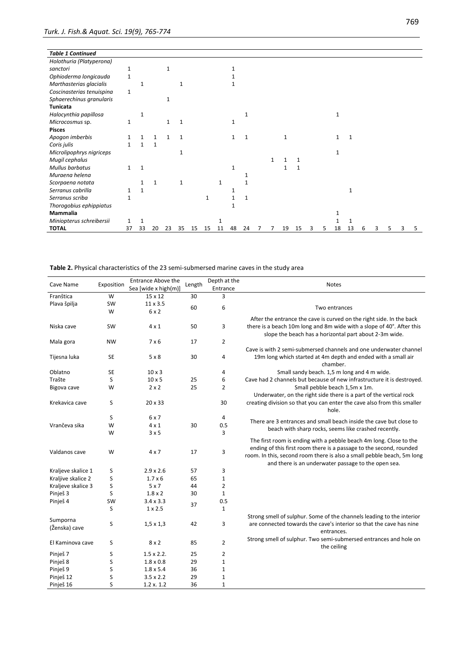| <b>Table 1 Continued</b>  |    |    |              |    |              |    |    |    |    |    |  |    |    |   |   |    |    |   |   |   |
|---------------------------|----|----|--------------|----|--------------|----|----|----|----|----|--|----|----|---|---|----|----|---|---|---|
| Holothuria (Platyperona)  |    |    |              |    |              |    |    |    |    |    |  |    |    |   |   |    |    |   |   |   |
| sanctori                  | 1  |    |              |    |              |    |    |    |    |    |  |    |    |   |   |    |    |   |   |   |
| Ophioderma longicauda     | 1  |    |              |    |              |    |    |    |    |    |  |    |    |   |   |    |    |   |   |   |
| Marthasterias glacialis   |    |    |              |    |              |    |    |    |    |    |  |    |    |   |   |    |    |   |   |   |
| Coscinasterias tenuispina | 1  |    |              |    |              |    |    |    |    |    |  |    |    |   |   |    |    |   |   |   |
| Sphaerechinus granularis  |    |    |              |    |              |    |    |    |    |    |  |    |    |   |   |    |    |   |   |   |
| <b>Tunicata</b>           |    |    |              |    |              |    |    |    |    |    |  |    |    |   |   |    |    |   |   |   |
| Halocynthia papillosa     |    | 1  |              |    |              |    |    |    |    | 1  |  |    |    |   |   | 1  |    |   |   |   |
| Microcosmus sp.           | 1  |    |              |    |              |    |    |    | 1  |    |  |    |    |   |   |    |    |   |   |   |
| <b>Pisces</b>             |    |    |              |    |              |    |    |    |    |    |  |    |    |   |   |    |    |   |   |   |
| Apogon imberbis           |    |    |              |    |              |    |    |    |    | 1  |  | 1  |    |   |   |    |    |   |   |   |
| Coris julis               |    |    | $\mathbf{1}$ |    |              |    |    |    |    |    |  |    |    |   |   |    |    |   |   |   |
| Microlipophrys nigriceps  |    |    |              |    | 1            |    |    |    |    |    |  |    |    |   |   | 1  |    |   |   |   |
| Mugil cephalus            |    |    |              |    |              |    |    |    |    |    |  |    |    |   |   |    |    |   |   |   |
| Mullus barbatus           | 1  | 1  |              |    |              |    |    |    | 1  |    |  | 1  | 1  |   |   |    |    |   |   |   |
| Muraena helena            |    |    |              |    |              |    |    |    |    |    |  |    |    |   |   |    |    |   |   |   |
| Scorpaena notata          |    |    | $\mathbf{1}$ |    | $\mathbf{1}$ |    |    | 1  |    |    |  |    |    |   |   |    |    |   |   |   |
| Serranus cabrilla         | 1  |    |              |    |              |    |    |    |    |    |  |    |    |   |   |    | 1  |   |   |   |
| Serranus scriba           | 1  |    |              |    |              |    | 1  |    |    |    |  |    |    |   |   |    |    |   |   |   |
| Thorogobius ephippiatus   |    |    |              |    |              |    |    |    |    |    |  |    |    |   |   |    |    |   |   |   |
| Mammalia                  |    |    |              |    |              |    |    |    |    |    |  |    |    |   |   |    |    |   |   |   |
| Miniopterus schreibersii  |    |    |              |    |              |    |    |    |    |    |  |    |    |   |   |    |    |   |   |   |
| <b>TOTAL</b>              | 37 | 33 | 20           | 23 | 35           | 15 | 15 | 11 | 48 | 24 |  | 19 | 15 | 3 | 5 | 18 | 13 | 6 | 5 | 5 |

**Table 2.** Physical characteristics of the 23 semi-submersed marine caves in the study area

| Cave Name            | Exposition | <b>Entrance Above the</b>          | Length | Depth at the        | <b>Notes</b>                                                            |  |  |  |  |  |
|----------------------|------------|------------------------------------|--------|---------------------|-------------------------------------------------------------------------|--|--|--|--|--|
|                      |            | Sea [wide x high(m)]               |        | Entrance            |                                                                         |  |  |  |  |  |
| Franštica            | W          | $15 \times 12$                     | 30     | 3                   |                                                                         |  |  |  |  |  |
| Plava špilja         | SW         | 11 x 3.5                           | 60     | 6                   | Two entrances                                                           |  |  |  |  |  |
|                      | W          | 6 x 2                              |        |                     |                                                                         |  |  |  |  |  |
|                      |            |                                    |        |                     | After the entrance the cave is curved on the right side. In the back    |  |  |  |  |  |
| Niska cave           | <b>SW</b>  | $4 \times 1$                       | 50     | 3                   | there is a beach 10m long and 8m wide with a slope of 40°. After this   |  |  |  |  |  |
|                      |            |                                    |        |                     | slope the beach has a horizontal part about 2-3m wide.                  |  |  |  |  |  |
| Mala gora            | <b>NW</b>  | 7 x 6                              | 17     | $\overline{2}$      |                                                                         |  |  |  |  |  |
|                      |            |                                    |        |                     | Cave is with 2 semi-submersed channels and one underwater channel       |  |  |  |  |  |
| Tijesna luka         | <b>SE</b>  | 5x8                                | 30     | 4                   | 19m long which started at 4m depth and ended with a small air           |  |  |  |  |  |
|                      |            |                                    |        |                     | chamber.                                                                |  |  |  |  |  |
| Oblatno              | <b>SE</b>  | $10 \times 3$                      |        | 4                   | Small sandy beach. 1,5 m long and 4 m wide.                             |  |  |  |  |  |
| Trašte               | S          | $10 \times 5$                      | 25     | 6                   | Cave had 2 channels but because of new infrastructure it is destroyed.  |  |  |  |  |  |
| Bigova cave          | W          | $2 \times 2$                       | 25     | $\overline{2}$      | Small pebble beach 1,5m x 1m.                                           |  |  |  |  |  |
|                      |            |                                    |        |                     | Underwater, on the right side there is a part of the vertical rock      |  |  |  |  |  |
| Krekavica cave       | S          | $20 \times 33$                     |        | 30                  | creating division so that you can enter the cave also from this smaller |  |  |  |  |  |
|                      |            |                                    |        |                     | hole.                                                                   |  |  |  |  |  |
|                      | S          | 6 x 7                              |        | 4                   | There are 3 entrances and small beach inside the cave but close to      |  |  |  |  |  |
| Vrančeva sika        | W          | $4 \times 1$                       | 30     | 0.5                 | beach with sharp rocks, seems like crashed recently.                    |  |  |  |  |  |
|                      | W          | 3x5                                |        | 3                   |                                                                         |  |  |  |  |  |
|                      |            |                                    |        |                     | The first room is ending with a pebble beach 4m long. Close to the      |  |  |  |  |  |
| Valdanos cave        | W          | $4 \times 7$                       | 17     | 3                   | ending of this first room there is a passage to the second, rounded     |  |  |  |  |  |
|                      |            |                                    |        |                     | room. In this, second room there is also a small pebble beach, 5m long  |  |  |  |  |  |
|                      |            |                                    |        |                     | and there is an underwater passage to the open sea.                     |  |  |  |  |  |
| Kraljeve skalice 1   | S          | $2.9 \times 2.6$                   | 57     | 3                   |                                                                         |  |  |  |  |  |
| Kraljive skalice 2   | S          | $1.7 \times 6$<br>5x7              | 65     | $\mathbf{1}$        |                                                                         |  |  |  |  |  |
| Kraljeve skalice 3   | S          | $1.8 \times 2$                     | 44     | $\overline{2}$      |                                                                         |  |  |  |  |  |
| Pinješ 3             | S          |                                    | 30     | $\mathbf{1}$        |                                                                         |  |  |  |  |  |
| Pinješ <sub>4</sub>  | SW<br>S    | $3.4 \times 3.3$<br>$1 \times 2.5$ | 37     | 0.5<br>$\mathbf{1}$ |                                                                         |  |  |  |  |  |
|                      |            |                                    |        |                     | Strong smell of sulphur. Some of the channels leading to the interior   |  |  |  |  |  |
| Sumporna             | S          | $1,5 \times 1,3$                   | 42     | 3                   | are connected towards the cave's interior so that the cave has nine     |  |  |  |  |  |
| (Ženska) cave        |            |                                    |        |                     | entrances.                                                              |  |  |  |  |  |
|                      |            |                                    |        |                     |                                                                         |  |  |  |  |  |
| El Kaminova cave     | S          | $8 \times 2$                       | 85     | $\overline{2}$      | Strong smell of sulphur. Two semi-submersed entrances and hole on       |  |  |  |  |  |
| Pinješ <sub>7</sub>  | S          | $1.5 \times 2.2$ .                 | 25     | 2                   | the ceiling                                                             |  |  |  |  |  |
| Pinješ 8             | S          | $1.8 \times 0.8$                   | 29     | $\mathbf 1$         |                                                                         |  |  |  |  |  |
| Pinješ 9             | S          | $1.8 \times 5.4$                   | 36     | $\mathbf 1$         |                                                                         |  |  |  |  |  |
| Pinješ <sub>12</sub> | S          | $3.5 \times 2.2$                   | 29     | $\mathbf 1$         |                                                                         |  |  |  |  |  |
| Pinješ 16            | S          | 1.2 x. 1.2                         | 36     | $\mathbf{1}$        |                                                                         |  |  |  |  |  |
|                      |            |                                    |        |                     |                                                                         |  |  |  |  |  |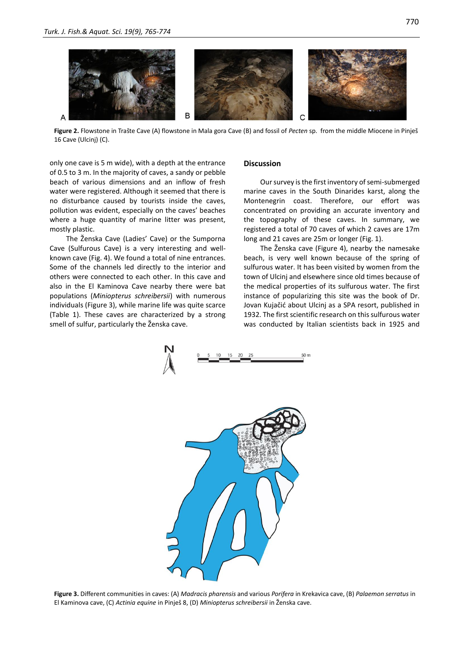

**Figure 2.** Flowstone in Trašte Cave (A) flowstone in Mala gora Cave (B) and fossil of *Pecten* sp. from the middle Miocene in Pinješ 16 Cave (Ulcinj) (C).

only one cave is 5 m wide), with a depth at the entrance of 0.5 to 3 m. In the majority of caves, a sandy or pebble beach of various dimensions and an inflow of fresh water were registered. Although it seemed that there is no disturbance caused by tourists inside the caves, pollution was evident, especially on the caves' beaches where a huge quantity of marine litter was present, mostly plastic.

The Ženska Cave (Ladies' Cave) or the Sumporna Cave (Sulfurous Cave) is a very interesting and wellknown cave (Fig. 4). We found a total of nine entrances. Some of the channels led directly to the interior and others were connected to each other. In this cave and also in the El Kaminova Cave nearby there were bat populations (*Miniopterus schreibersii*) with numerous individuals (Figure 3), while marine life was quite scarce (Table 1). These caves are characterized by a strong smell of sulfur, particularly the Ženska cave.

#### **Discussion**

Our survey is the first inventory of semi-submerged marine caves in the South Dinarides karst, along the Montenegrin coast. Therefore, our effort was concentrated on providing an accurate inventory and the topography of these caves. In summary, we registered a total of 70 caves of which 2 caves are 17m long and 21 caves are 25m or longer (Fig. 1).

The Ženska cave (Figure 4), nearby the namesake beach, is very well known because of the spring of sulfurous water. It has been visited by women from the town of Ulcinj and elsewhere since old times because of the medical properties of its sulfurous water. The first instance of popularizing this site was the book of Dr. Jovan Kujačić about Ulcinj as a SPA resort, published in 1932. The first scientific research on this sulfurous water was conducted by Italian scientists back in 1925 and





**Figure 3.** Different communities in caves: (A) *Madracis pharensis* and various *Porifera* in Krekavica cave, (B) *Palaemon serratus* in El Kaminova cave, (C) *Actinia equine* in Pinješ 8, (D) *Miniopterus schreibersii* in Ženska cave.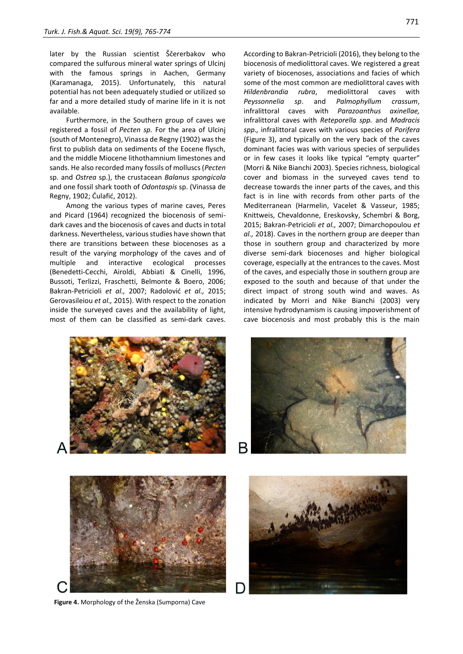later by the Russian scientist Ščererbakov who compared the sulfurous mineral water springs of Ulcinj with the famous springs in Aachen, Germany (Karamanaga, 2015). Unfortunately, this natural potential has not been adequately studied or utilized so far and a more detailed study of marine life in it is not available.

Furthermore, in the Southern group of caves we registered a fossil of *Pecten sp.* For the area of Ulcinj (south of Montenegro), Vinassa de Regny (1902) was the first to publish data on sediments of the Eocene flysch, and the middle Miocene lithothamnium limestones and sands. He also recorded many fossils of molluscs (*Pecten* sp. and *Ostrea* sp.), the crustacean *Balanus spongicola*  and one fossil shark tooth of *Odontaspis* sp. (Vinassa de Regny, 1902; Ćulafić, 2012).

Among the various types of marine caves, Peres and Picard (1964) recognized the biocenosis of semidark caves and the biocenosis of caves and ducts in total darkness. Nevertheless, various studies have shown that there are transitions between these biocenoses as a result of the varying morphology of the caves and of multiple and interactive ecological processes (Benedetti-Cecchi, Airoldi, Abbiati & Cinelli, 1996, Bussoti, Terlizzi, Fraschetti, Belmonte & Boero, 2006; Bakran-Petricioli *et al.,* 2007; Radolović *et al.,* 2015; Gerovasileiou *et al.,* 2015). With respect to the zonation inside the surveyed caves and the availability of light, most of them can be classified as semi-dark caves.

According to Bakran-Petricioli (2016), they belong to the biocenosis of mediolittoral caves. We registered a great variety of biocenoses, associations and facies of which some of the most common are mediolittoral caves with *Hildenbrandia rubra*, mediolittoral caves with *Peyssonnelia sp*. and *Palmophyllum crassum*, infralittoral caves with *Parazoanthus axinellae,*  infralittoral caves with *Reteporella spp.* and *Madracis spp.,* infralittoral caves with various species of *Porifera* (Figure 3), and typically on the very back of the caves dominant facies was with various species of serpulides or in few cases it looks like typical "empty quarter" (Morri & Nike Bianchi 2003). Species richness, biological cover and biomass in the surveyed caves tend to decrease towards the inner parts of the caves, and this fact is in line with records from other parts of the Mediterranean (Harmelin, Vacelet & Vasseur, 1985; Knittweis, Chevaldonne, Ereskovsky, Schembri & Borg, 2015; Bakran-Petricioli *et al.,* 2007; Dimarchopoulou *et al.,* 2018). Caves in the northern group are deeper than those in southern group and characterized by more diverse semi-dark biocenoses and higher biological coverage, especially at the entrances to the caves. Most of the caves, and especially those in southern group are exposed to the south and because of that under the direct impact of strong south wind and waves. As indicated by Morri and Nike Bianchi (2003) very intensive hydrodynamism is causing impoverishment of cave biocenosis and most probably this is the main



771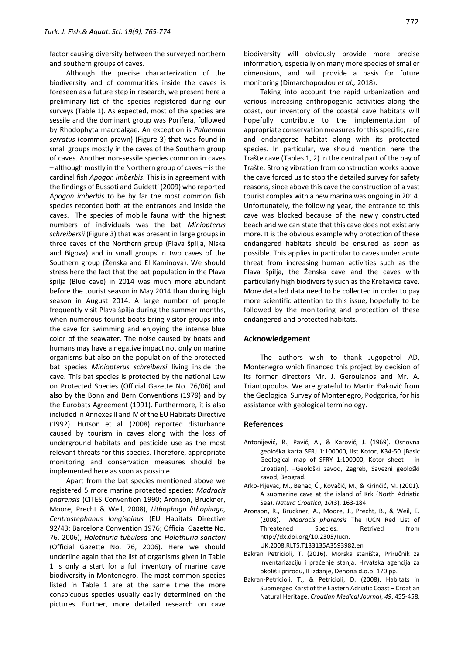factor causing diversity between the surveyed northern and southern groups of caves.

Although the precise characterization of the biodiversity and of communities inside the caves is foreseen as a future step in research, we present here a preliminary list of the species registered during our surveys (Table 1). As expected, most of the species are sessile and the dominant group was Porifera, followed by Rhodophyta macroalgae. An exception is *Palaemon serratus* (common prawn) (Figure 3) that was found in small groups mostly in the caves of the Southern group of caves. Another non-sessile species common in caves – although mostly in the Northern group of caves – is the cardinal fish *Apogon imberbis*. This is in agreement with the findings of Bussoti and Guidetti (2009) who reported *Apogon imberbis* to be by far the most common fish species recorded both at the entrances and inside the caves. The species of mobile fauna with the highest numbers of individuals was the bat *Miniopterus schreibersii* (Figure 3) that was present in large groups in three caves of the Northern group (Plava špilja, Niska and Bigova) and in small groups in two caves of the Southern group (Ženska and El Kaminova). We should stress here the fact that the bat population in the Plava špilja (Blue cave) in 2014 was much more abundant before the tourist season in May 2014 than during high season in August 2014. A large number of people frequently visit Plava špilja during the summer months, when numerous tourist boats bring visitor groups into the cave for swimming and enjoying the intense blue color of the seawater. The noise caused by boats and humans may have a negative impact not only on marine organisms but also on the population of the protected bat species *Miniopterus schreibersi* living inside the cave. This bat species is protected by the national Law on Protected Species (Official Gazette No. 76/06) and also by the Bonn and Bern Conventions (1979) and by the Eurobats Agreement (1991). Furthermore, it is also included in Annexes II and IV of the EU Habitats Directive (1992). Hutson et al. (2008) reported disturbance caused by tourism in caves along with the loss of underground habitats and pesticide use as the most relevant threats for this species. Therefore, appropriate monitoring and conservation measures should be implemented here as soon as possible.

Apart from the bat species mentioned above we registered 5 more marine protected species: *Madracis pharensis* (CITES Convention 1990; Aronson, Bruckner, Moore, Precht & Weil, 2008), *Lithophaga lithophaga, Centrostephanus longispinus* (EU Habitats Directive 92/43; Barcelona Convention 1976; Official Gazette No. 76, 2006), *Holothuria tubulosa* and *Holothuria sanctori* (Official Gazette No. 76, 2006). Here we should underline again that the list of organisms given in Table 1 is only a start for a full inventory of marine cave biodiversity in Montenegro. The most common species listed in Table 1 are at the same time the more conspicuous species usually easily determined on the pictures. Further, more detailed research on cave biodiversity will obviously provide more precise information, especially on many more species of smaller dimensions, and will provide a basis for future monitoring (Dimarchopoulou *et al.,* 2018).

Taking into account the rapid urbanization and various increasing anthropogenic activities along the coast, our inventory of the coastal cave habitats will hopefully contribute to the implementation of appropriate conservation measures for this specific, rare and endangered habitat along with its protected species. In particular, we should mention here the Trašte cave (Tables 1, 2) in the central part of the bay of Trašte. Strong vibration from construction works above the cave forced us to stop the detailed survey for safety reasons, since above this cave the construction of a vast tourist complex with a new marina was ongoing in 2014. Unfortunately, the following year, the entrance to this cave was blocked because of the newly constructed beach and we can state that this cave does not exist any more. It is the obvious example why protection of these endangered habitats should be ensured as soon as possible. This applies in particular to caves under acute threat from increasing human activities such as the Plava špilja, the Ženska cave and the caves with particularly high biodiversity such as the Krekavica cave. More detailed data need to be collected in order to pay more scientific attention to this issue, hopefully to be followed by the monitoring and protection of these endangered and protected habitats.

#### **Acknowledgement**

The authors wish to thank Jugopetrol AD, Montenegro which financed this project by decision of its former directors Mr. J. Geroulanos and Mr. A. Triantopoulos. We are grateful to Martin Đaković from the Geological Survey of Montenegro, Podgorica, for his assistance with geological terminology.

#### **References**

- Antonijević, R., Pavić, A., & Karović, J. (1969). Osnovna geološka karta SFRJ 1:100000, list Kotor, K34-50 [Basic Geological map of SFRY 1:100000, Kotor sheet *–* in Croatian]. -Geološki zavod, Zagreb, Savezni geološki zavod, Beograd.
- Arko-Pijevac, M., Benac, Č., Kovačić, M., & Kirinčić, M. (2001). A submarine cave at the island of Krk (North Adriatic Sea). *Natura Croatica, 10*(3), 163-184.
- Aronson, R., Bruckner, A., Moore, J., Precht, B., & Weil, E. (2008). *Madracis pharensis* The IUCN Red List of Threatened Species. Retrived from http://dx.doi.org/10.2305/Iucn. UK.2008.RLTS.T133135A3593982.en
- Bakran Petricioli, T. (2016). Morska staništa, Priručnik za inventarizaciju i praćenje stanja. Hrvatska agencija za okoliš i prirodu, II izdanje, Denona d.o.o. 170 pp.
- Bakran-Petricioli, T., & Petricioli, D. (2008). Habitats in Submerged Karst of the Eastern Adriatic Coast – Croatian Natural Heritage. *Croatian Medical Journal*, *49*, 455-458.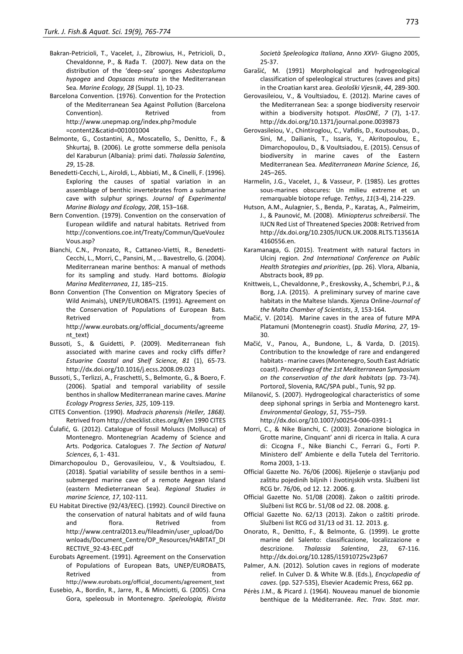- Bakran-Petricioli, T., Vacelet, J., Zibrowius, H., Petricioli, D., Chevaldonne, P., & Rađa T. (2007). New data on the distribution of the 'deep-sea' sponges *Asbestopluma hypogea* and *Oopsacas minuta* in the Mediterranean Sea. *Marine Ecology, 28* (Suppl. 1), 10-23.
- Barcelona Convention. (1976). Convention for the Protection of the Mediterranean Sea Against Pollution (Barcelona Convention). Retrived from http://www.unepmap.org/index.php?module =content2&catid=001001004
- Belmonte, G., Costantini, A., Moscatello, S., Denitto, F., & Shkurtaj, B. (2006). Le grotte sommerse della penisola del Karaburun (Albania): primi dati. *Thalassia Salentina, 29*, 15-28.
- Benedetti-Cecchi, L., Airoldi, L., Abbiati, M., & Cinelli, F. (1996). Exploring the causes of spatial variation in an assemblage of benthic invertebrates from a submarine cave with sulphur springs. *Journal of Experimental Marine Biology and Ecology, 208*, 153–168.
- Bern Convention. (1979). Convention on the conservation of European wildlife and natural habitats. Retrived from http://conventions.coe.int/Treaty/Commun/QueVoulez Vous.asp?
- Bianchi, C.N., Pronzato, R., Cattaneo-Vietti, R., Benedetti-Cecchi, L., Morri, C., Pansini, M., … Bavestrello, G. (2004). Mediterranean marine benthos: A manual of methods for its sampling and study. Hard bottoms*. Biologia Marina Mediterranea*, *11*, 185–215.
- Bonn Convention (The Convention on Migratory Species of Wild Animals), UNEP/EUROBATS. (1991). Agreement on the Conservation of Populations of European Bats. Retrived from the state of the state of the state of the state of the state of the state of the state of the state of the state of the state of the state of the state of the state of the state of the state of the state of http://www.eurobats.org/official\_documents/agreeme nt\_text)
- Bussoti, S., & Guidetti, P. (2009). Mediterranean fish associated with marine caves and rocky cliffs differ? *Estuarine Coastal and Shelf Science, 81* (1), 65-73. http://dx.doi.org/10.1016/j.ecss.2008.09.023
- Bussoti, S., Terlizzi, A., Fraschetti, S., Belmonte, G., & Boero, F. (2006). Spatial and temporal variability of sessile benthos in shallow Mediterranean marine caves. *Marine Ecology Progress Series*, *325*, 109-119.
- CITES Convention. (1990). *Madracis pharensis (Heller, 1868).* Retrived from http://checklist.cites.org/#/en 1990 CITES
- Ćulafić, G. (2012). Catalogue of fossil Moluscs (Mollusca) of Montenegro. Montenegrian Academy of Science and Arts. Podgorica. Catalogues 7. *The Section of Natural Sciences*, *6*, 1- 431.
- Dimarchopoulou D., Gerovasileiou, V., & Voultsiadou, E. (2018). Spatial variability of sessile benthos in a semisubmerged marine cave of a remote Aegean Island (eastern Medieterranean Sea). *Regional Studies in marine Science, 17*, 102-111.
- EU Habitat Directive (92/43/EEC). (1992). Council Directive on the conservation of natural habitats and of wild fauna and flora. Retrived from http://www.central2013.eu/fileadmin/user\_upload/Do wnloads/Document Centre/OP\_Resources/HABITAT\_DI RECTIVE\_92-43-EEC.pdf
- Eurobats Agreement. (1991). Agreement on the Conservation of Populations of European Bats, UNEP/EUROBATS, Retrived from the state of the state of the state of the state of the state of the state of the state of the state of the state of the state of the state of the state of the state of the state of the state of the state of http://www.eurobats.org/official\_documents/agreement\_text
- Eusebio, A., Bordin, R., Jarre, R., & Minciotti, G. (2005). Crna Gora, speleosub in Montenegro. *Speleologia, Rivista*

*Società Speleologica Italiana*, Anno *XXVI*- Giugno 2005, 25-37.

- Garašić, M. (1991) Morphological and hydrogeological classification of speleological structures (caves and pits) in the Croatian karst area. *Geološki Vjesnik*, *44*, 289-300.
- Gerovasileiou, V., & Voultsiadou, E. (2012). Marine caves of the Mediterranean Sea: a sponge biodiversity reservoir within a biodiversity hotspot. *PlosONE*, *7* (7), 1-17. http://dx.doi.org/10.1371/journal.pone.0039873
- Gerovasileiou, V., Chintiroglou, C., Vafidis, D., Koutsoubas, D., Sini, M., Dailianis, T., Issaris, Y., Akritopoulou, E., Dimarchopoulou, D., & Voultsiadou, E. (2015). Census of biodiversity in marine caves of the Eastern Mediterranean Sea. *Mediterranean Marine Science, 16*, 245–265.
- Harmelin, J.G., Vacelet, J., & Vasseur, P. (1985). Les grottes sous-marines obscures: Un milieu extreme et un remarquable biotope refuge. *Tethys*, *11*(3-4), 214-229.
- Hutson, A.M., Aulagnier, S., Benda, P., Karataş, A., Palmeirim, J., & Paunović, M. (2008). *Miniopterus schreibersii*. The IUCN Red List of Threatened Species 2008: Retrived from http://dx.doi.org/10.2305/IUCN.UK.2008.RLTS.T13561A 4160556.en.
- Karamanaga, G. (2015). Treatment with natural factors in Ulcinj region. *2nd International Conference on Public Health Strategies and priorities*, (pp. 26). Vlora, Albania, Abstracts book, 89 pp.
- Knittweis, L., Chevaldonne, P., Ereskovsky, A., Schembri, P.J., & Borg, J.A. (2015). A preliminary survey of marine cave habitats in the Maltese Islands. Xjenza Online-*Journal of the Malta Chamber of Scientists*, *3*, 153-164.
- Mačić, V. (2014). Marine caves in the area of future MPA Platamuni (Montenegrin coast). *Studia Marina, 27*, 19- 30.
- Mačić, V., Panou, A., Bundone, L., & Varda, D. (2015). Contribution to the knowledge of rare and endangered habitats - marine caves (Montenegro, South East Adriatic coast). *Proceedings of the 1st Mediterranean Symposium on the conservation of the dark habitats* (pp. 73-74). Portorož, Slovenia, RAC/SPA publ., Tunis, 92 pp.
- Milanović, S. (2007). Hydrogeological characteristics of some deep siphonal springs in Serbia and Montenegro karst. *Environmental Geology*, *51*, 755–759. http://dx.doi.org/10.1007/s00254-006-0391-1
- Morri, C., & Nike Bianchi, C. (2003). Zonazione biologica in Grotte marine, Cinquant' anni di ricerca in Italia. A cura di: Cicogna F., Nike Bianchi C., Ferrari G., Forti P. Ministero dell' Ambiente e della Tutela del Territorio. Roma 2003, 1-13.
- Official Gazette No. 76/06 (2006). Riješenje o stavljanju pod zaštitu pojedinih biljnih i životinjskih vrsta. Službeni list RCG br. 76/06, od 12. 12. 2006. g.
- Official Gazette No. 51/08 (2008). Zakon o zaštiti prirode. Službeni list RCG br. 51/08 od 22. 08. 2008. g.
- Official Gazette No. 62/13 (2013). Zakon o zaštiti prirode. Službeni list RCG od 31/13 od 31. 12. 2013. g.
- Onorato, R., Denitto, F., & Belmonte, G. (1999). Le grotte marine del Salento: classificazione, localizzazione e descrizione. *Thalassia Salentina*, *23*, 67-116. http://dx.doi.org/10.1285/i15910725v23p67
- Palmer, A.N. (2012). Solution caves in regions of moderate relief. In Culver D. & White W.B. (Eds.), *Encyclopedia of caves*. (pp. 527-535), Elsevier Academic Press, 662 pp.
- Pérès J.M., & Picard J. (1964). Nouveau manuel de bionomie benthique de la Méditerranée. *Rec. Trav. Stat. mar.*